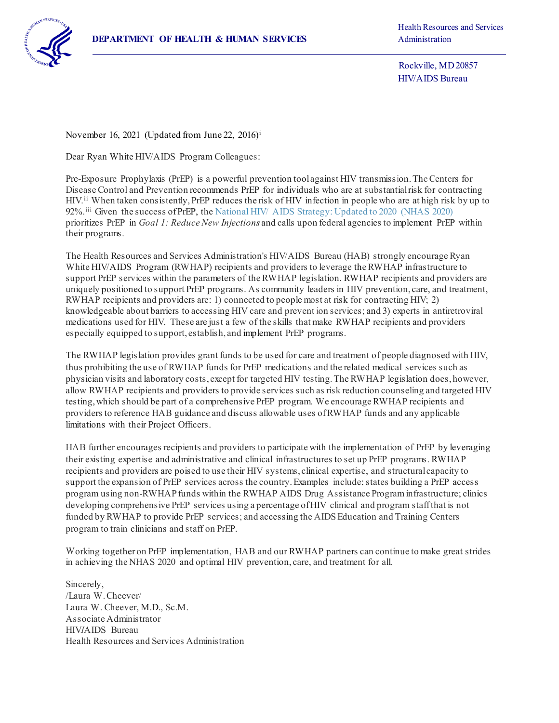

Rockville, MD 20857 HIV/AIDS Bureau

November 16, 2021 (Updated from June 22, 2016)[i](#page-1-0)

Dear Ryan White HIV/AIDS Program Colleagues:

Pre-Exposure Prophylaxis (PrEP) is a powerful prevention tool against HIV transmission. The Centers for Disease Control and Prevention recommends PrEP for individuals who are at substantial risk for contracting HIV.<sup>[ii](#page-1-1)</sup> When taken consistently, PrEP reduces the risk of HIV infection in people who are at high risk by up to 92%.<sup>[iii](#page-1-2)</sup> Given the success of PrEP, the National HIV/ AIDS Strategy: Updated to 2020 (NHAS 2020) prioritizes PrEP in *Goal 1: Reduce New Injections* and calls upon federal agencies to implement PrEP within their programs.

The Health Resources and Services Administration's HIV/AIDS Bureau (HAB) strongly encourage Ryan White HIV/AIDS Program (RWHAP) recipients and providers to leverage the RWHAP infrastructure to support PrEP services within the parameters of the RWHAP legislation. RWHAP recipients and providers are uniquely positioned to support PrEP programs. As community leaders in HIV prevention, care, and treatment, RWHAP recipients and providers are: 1) connected to people most at risk for contracting HIV; 2) knowledgeable about barriers to accessing HIV care and prevent ion services; and 3) experts in antiretroviral medications used for HIV. These are just a few of the skills that make RWHAP recipients and providers especially equipped to support, establish, and implement PrEP programs.

The RWHAP legislation provides grant funds to be used for care and treatment of people diagnosed with HIV, thus prohibiting the use of RWHAP funds for PrEP medications and the related medical services such as physician visits and laboratory costs, except for targeted HIV testing. The RWHAP legislation does, however, allow RWHAP recipients and providers to provide services such as risk reduction counseling and targeted HIV testing, which should be part of a comprehensive PrEP program. We encourage RWHAP recipients and providers to reference HAB guidance and discuss allowable uses of RWHAP funds and any applicable limitations with their Project Officers.

HAB further encourages recipients and providers to participate with the implementation of PrEP by leveraging their existing expertise and administrative and clinical infrastructures to set up PrEP programs. RWHAP recipients and providers are poised to use their HIV systems, clinical expertise, and structural capacity to support the expansion of PrEP services across the country. Examples include: states building a PrEP access program using non-RWHAP funds within the RWHAP AIDS Drug Assistance Program infrastructure; clinics developing comprehensive PrEP services using a percentage of HIV clinical and program staff that is not funded by RWHAP to provide PrEP services; and accessing the AIDS Education and Training Centers program to train clinicians and staff on PrEP.

Working together on PrEP implementation, HAB and our RWHAP partners can continue to make great strides in achieving the NHAS 2020 and optimal HIV prevention, care, and treatment for all.

Sincerely, /Laura W. Cheever/ Laura W. Cheever, M.D., Sc.M. Associate Administrator HIV*I*AIDS Bureau Health Resources and Services Administration